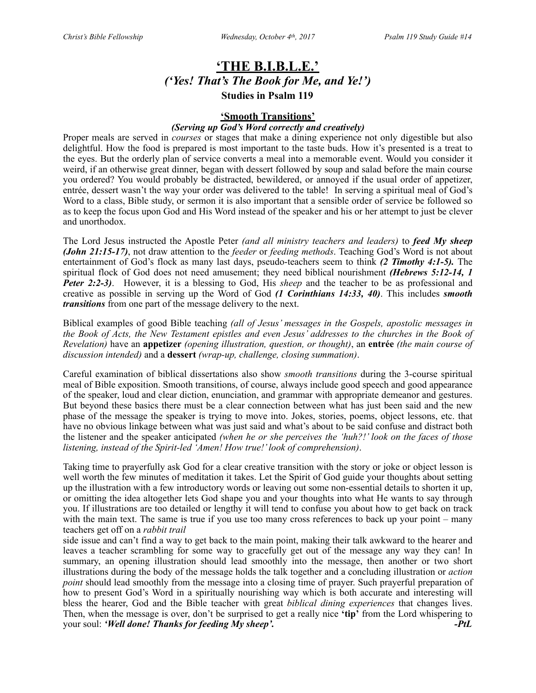# **'THE B.I.B.L.E.'** *('Yes! That's The Book for Me, and Ye!')* **Studies in Psalm 119**

### **'Smooth Transitions'**

### *(Serving up God's Word correctly and creatively)*

Proper meals are served in *courses* or stages that make a dining experience not only digestible but also delightful. How the food is prepared is most important to the taste buds. How it's presented is a treat to the eyes. But the orderly plan of service converts a meal into a memorable event. Would you consider it weird, if an otherwise great dinner, began with dessert followed by soup and salad before the main course you ordered? You would probably be distracted, bewildered, or annoyed if the usual order of appetizer, entrée, dessert wasn't the way your order was delivered to the table! In serving a spiritual meal of God's Word to a class, Bible study, or sermon it is also important that a sensible order of service be followed so as to keep the focus upon God and His Word instead of the speaker and his or her attempt to just be clever and unorthodox.

The Lord Jesus instructed the Apostle Peter *(and all ministry teachers and leaders)* to *feed My sheep (John 21:15-17)*, not draw attention to the *feeder* or *feeding methods*. Teaching God's Word is not about entertainment of God's flock as many last days, pseudo-teachers seem to think *(2 Timothy 4:1-5).* The spiritual flock of God does not need amusement; they need biblical nourishment *(Hebrews 5:12-14, 1 Peter 2:2-3)*. However, it is a blessing to God, His *sheep* and the teacher to be as professional and creative as possible in serving up the Word of God *(1 Corinthians 14:33, 40)*. This includes *smooth transitions* from one part of the message delivery to the next.

Biblical examples of good Bible teaching *(all of Jesus' messages in the Gospels, apostolic messages in the Book of Acts, the New Testament epistles and even Jesus' addresses to the churches in the Book of Revelation)* have an **appetizer** *(opening illustration, question, or thought)*, an **entrée** *(the main course of discussion intended)* and a **dessert** *(wrap-up, challenge, closing summation)*.

Careful examination of biblical dissertations also show *smooth transitions* during the 3-course spiritual meal of Bible exposition. Smooth transitions, of course, always include good speech and good appearance of the speaker, loud and clear diction, enunciation, and grammar with appropriate demeanor and gestures. But beyond these basics there must be a clear connection between what has just been said and the new phase of the message the speaker is trying to move into. Jokes, stories, poems, object lessons, etc. that have no obvious linkage between what was just said and what's about to be said confuse and distract both the listener and the speaker anticipated *(when he or she perceives the 'huh?!' look on the faces of those listening, instead of the Spirit-led 'Amen! How true!' look of comprehension)*.

Taking time to prayerfully ask God for a clear creative transition with the story or joke or object lesson is well worth the few minutes of meditation it takes. Let the Spirit of God guide your thoughts about setting up the illustration with a few introductory words or leaving out some non-essential details to shorten it up, or omitting the idea altogether lets God shape you and your thoughts into what He wants to say through you. If illustrations are too detailed or lengthy it will tend to confuse you about how to get back on track with the main text. The same is true if you use too many cross references to back up your point – many teachers get off on a *rabbit trail* 

side issue and can't find a way to get back to the main point, making their talk awkward to the hearer and leaves a teacher scrambling for some way to gracefully get out of the message any way they can! In summary, an opening illustration should lead smoothly into the message, then another or two short illustrations during the body of the message holds the talk together and a concluding illustration or *action point* should lead smoothly from the message into a closing time of prayer. Such prayerful preparation of how to present God's Word in a spiritually nourishing way which is both accurate and interesting will bless the hearer, God and the Bible teacher with great *biblical dining experiences* that changes lives. Then, when the message is over, don't be surprised to get a really nice **'tip'** from the Lord whispering to your soul: *'Well done! Thanks for feeding My sheep'. -PtL*